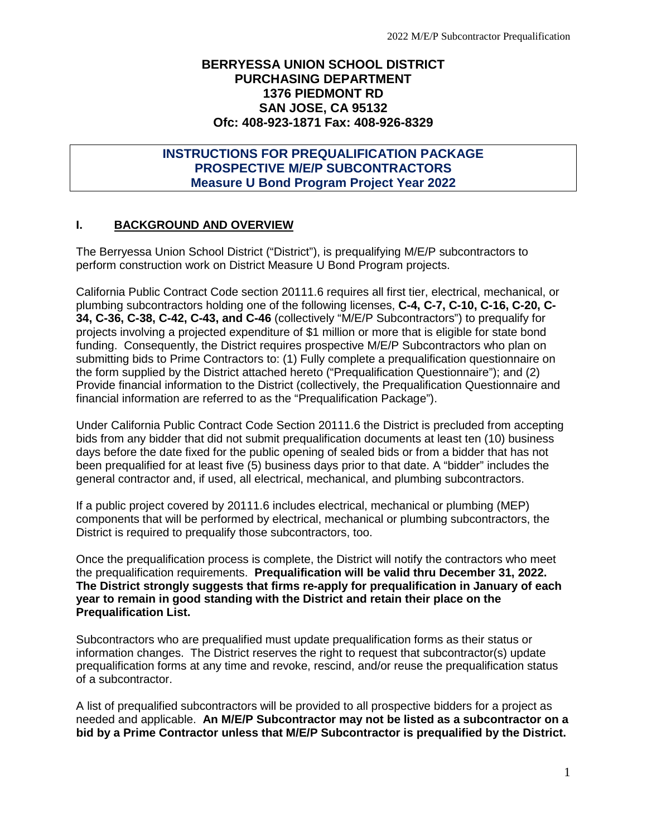## **BERRYESSA UNION SCHOOL DISTRICT PURCHASING DEPARTMENT 1376 PIEDMONT RD SAN JOSE, CA 95132 Ofc: 408-923-1871 Fax: 408-926-8329**

# **INSTRUCTIONS FOR PREQUALIFICATION PACKAGE PROSPECTIVE M/E/P SUBCONTRACTORS Measure U Bond Program Project Year 2022**

## **I. BACKGROUND AND OVERVIEW**

The Berryessa Union School District ("District"), is prequalifying M/E/P subcontractors to perform construction work on District Measure U Bond Program projects.

California Public Contract Code section 20111.6 requires all first tier, electrical, mechanical, or plumbing subcontractors holding one of the following licenses, **C-4, C-7, C-10, C-16, C-20, C-34, C-36, C-38, C-42, C-43, and C-46** (collectively "M/E/P Subcontractors") to prequalify for projects involving a projected expenditure of \$1 million or more that is eligible for state bond funding. Consequently, the District requires prospective M/E/P Subcontractors who plan on submitting bids to Prime Contractors to: (1) Fully complete a prequalification questionnaire on the form supplied by the District attached hereto ("Prequalification Questionnaire"); and (2) Provide financial information to the District (collectively, the Prequalification Questionnaire and financial information are referred to as the "Prequalification Package").

Under California Public Contract Code Section 20111.6 the District is precluded from accepting bids from any bidder that did not submit prequalification documents at least ten (10) business days before the date fixed for the public opening of sealed bids or from a bidder that has not been prequalified for at least five (5) business days prior to that date. A "bidder" includes the general contractor and, if used, all electrical, mechanical, and plumbing subcontractors.

If a public project covered by 20111.6 includes electrical, mechanical or plumbing (MEP) components that will be performed by electrical, mechanical or plumbing subcontractors, the District is required to prequalify those subcontractors, too.

Once the prequalification process is complete, the District will notify the contractors who meet the prequalification requirements. **Prequalification will be valid thru December 31, 2022. The District strongly suggests that firms re-apply for prequalification in January of each year to remain in good standing with the District and retain their place on the Prequalification List.**

Subcontractors who are prequalified must update prequalification forms as their status or information changes. The District reserves the right to request that subcontractor(s) update prequalification forms at any time and revoke, rescind, and/or reuse the prequalification status of a subcontractor.

A list of prequalified subcontractors will be provided to all prospective bidders for a project as needed and applicable. **An M/E/P Subcontractor may not be listed as a subcontractor on a bid by a Prime Contractor unless that M/E/P Subcontractor is prequalified by the District.**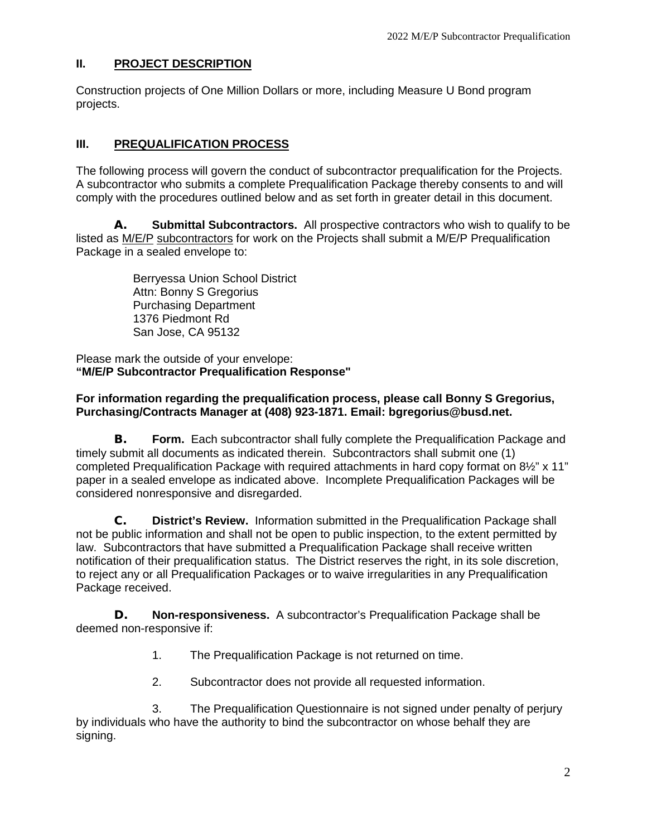## **II. PROJECT DESCRIPTION**

Construction projects of One Million Dollars or more, including Measure U Bond program projects.

## **III. PREQUALIFICATION PROCESS**

The following process will govern the conduct of subcontractor prequalification for the Projects. A subcontractor who submits a complete Prequalification Package thereby consents to and will comply with the procedures outlined below and as set forth in greater detail in this document.

**A. Submittal Subcontractors.** All prospective contractors who wish to qualify to be listed as M/E/P subcontractors for work on the Projects shall submit a M/E/P Prequalification Package in a sealed envelope to:

> Berryessa Union School District Attn: Bonny S Gregorius Purchasing Department 1376 Piedmont Rd San Jose, CA 95132

Please mark the outside of your envelope: **"M/E/P Subcontractor Prequalification Response"**

## **For information regarding the prequalification process, please call Bonny S Gregorius, Purchasing/Contracts Manager at (408) 923-1871. Email: bgregorius@busd.net.**

**B. Form.** Each subcontractor shall fully complete the Prequalification Package and timely submit all documents as indicated therein. Subcontractors shall submit one (1) completed Prequalification Package with required attachments in hard copy format on 8½" x 11" paper in a sealed envelope as indicated above. Incomplete Prequalification Packages will be considered nonresponsive and disregarded.

**C. District's Review.** Information submitted in the Prequalification Package shall not be public information and shall not be open to public inspection, to the extent permitted by law. Subcontractors that have submitted a Prequalification Package shall receive written notification of their prequalification status. The District reserves the right, in its sole discretion, to reject any or all Prequalification Packages or to waive irregularities in any Prequalification Package received.

**D. Non-responsiveness.** A subcontractor's Prequalification Package shall be deemed non-responsive if:

- 1. The Prequalification Package is not returned on time.
- 2. Subcontractor does not provide all requested information.

3. The Prequalification Questionnaire is not signed under penalty of perjury by individuals who have the authority to bind the subcontractor on whose behalf they are signing.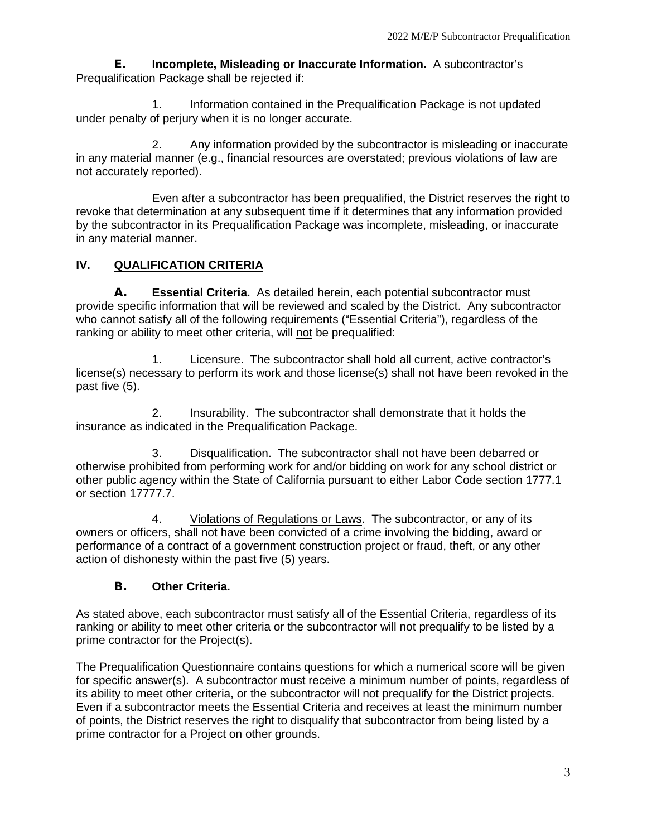**E. Incomplete, Misleading or Inaccurate Information.** A subcontractor's Prequalification Package shall be rejected if:

1. Information contained in the Prequalification Package is not updated under penalty of perjury when it is no longer accurate.

2. Any information provided by the subcontractor is misleading or inaccurate in any material manner (e.g., financial resources are overstated; previous violations of law are not accurately reported).

Even after a subcontractor has been prequalified, the District reserves the right to revoke that determination at any subsequent time if it determines that any information provided by the subcontractor in its Prequalification Package was incomplete, misleading, or inaccurate in any material manner.

# **IV. QUALIFICATION CRITERIA**

**A. Essential Criteria.** As detailed herein, each potential subcontractor must provide specific information that will be reviewed and scaled by the District. Any subcontractor who cannot satisfy all of the following requirements ("Essential Criteria"), regardless of the ranking or ability to meet other criteria, will not be prequalified:

1. Licensure. The subcontractor shall hold all current, active contractor's license(s) necessary to perform its work and those license(s) shall not have been revoked in the past five (5).

2. Insurability. The subcontractor shall demonstrate that it holds the insurance as indicated in the Prequalification Package.

3. Disqualification. The subcontractor shall not have been debarred or otherwise prohibited from performing work for and/or bidding on work for any school district or other public agency within the State of California pursuant to either Labor Code section 1777.1 or section 17777.7.

4. Violations of Regulations or Laws. The subcontractor, or any of its owners or officers, shall not have been convicted of a crime involving the bidding, award or performance of a contract of a government construction project or fraud, theft, or any other action of dishonesty within the past five (5) years.

# **B. Other Criteria.**

As stated above, each subcontractor must satisfy all of the Essential Criteria, regardless of its ranking or ability to meet other criteria or the subcontractor will not prequalify to be listed by a prime contractor for the Project(s).

The Prequalification Questionnaire contains questions for which a numerical score will be given for specific answer(s). A subcontractor must receive a minimum number of points, regardless of its ability to meet other criteria, or the subcontractor will not prequalify for the District projects. Even if a subcontractor meets the Essential Criteria and receives at least the minimum number of points, the District reserves the right to disqualify that subcontractor from being listed by a prime contractor for a Project on other grounds.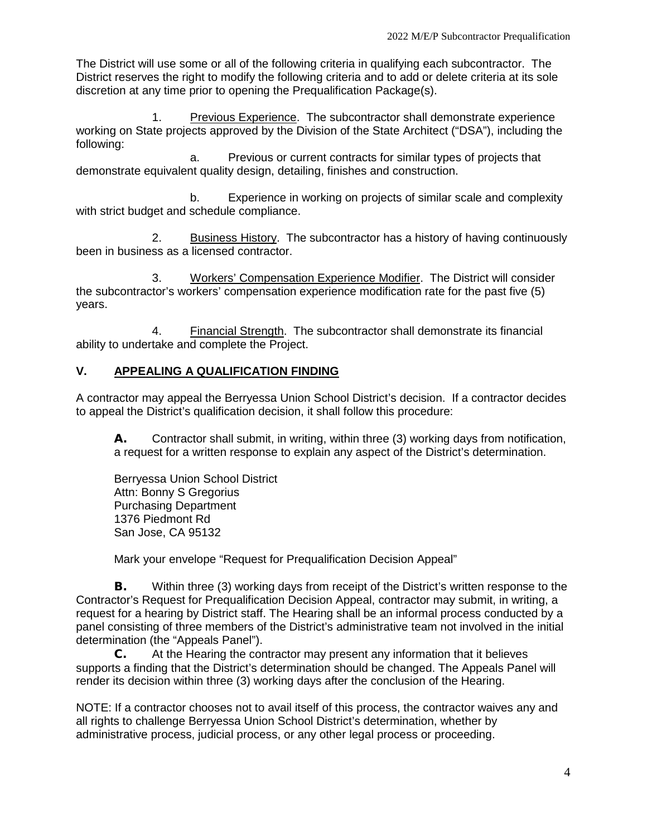The District will use some or all of the following criteria in qualifying each subcontractor. The District reserves the right to modify the following criteria and to add or delete criteria at its sole discretion at any time prior to opening the Prequalification Package(s).

1. Previous Experience. The subcontractor shall demonstrate experience working on State projects approved by the Division of the State Architect ("DSA"), including the following:

a. Previous or current contracts for similar types of projects that demonstrate equivalent quality design, detailing, finishes and construction.

b. Experience in working on projects of similar scale and complexity with strict budget and schedule compliance.

2. Business History. The subcontractor has a history of having continuously been in business as a licensed contractor.

3. Workers' Compensation Experience Modifier. The District will consider the subcontractor's workers' compensation experience modification rate for the past five (5) years.

4. Financial Strength. The subcontractor shall demonstrate its financial ability to undertake and complete the Project.

# **V. APPEALING A QUALIFICATION FINDING**

A contractor may appeal the Berryessa Union School District's decision. If a contractor decides to appeal the District's qualification decision, it shall follow this procedure:

**A.** Contractor shall submit, in writing, within three (3) working days from notification, a request for a written response to explain any aspect of the District's determination.

Berryessa Union School District Attn: Bonny S Gregorius Purchasing Department 1376 Piedmont Rd San Jose, CA 95132

Mark your envelope "Request for Prequalification Decision Appeal"

**B.** Within three (3) working days from receipt of the District's written response to the Contractor's Request for Prequalification Decision Appeal, contractor may submit, in writing, a request for a hearing by District staff. The Hearing shall be an informal process conducted by a panel consisting of three members of the District's administrative team not involved in the initial determination (the "Appeals Panel").

**C.** At the Hearing the contractor may present any information that it believes supports a finding that the District's determination should be changed. The Appeals Panel will render its decision within three (3) working days after the conclusion of the Hearing.

NOTE: If a contractor chooses not to avail itself of this process, the contractor waives any and all rights to challenge Berryessa Union School District's determination, whether by administrative process, judicial process, or any other legal process or proceeding.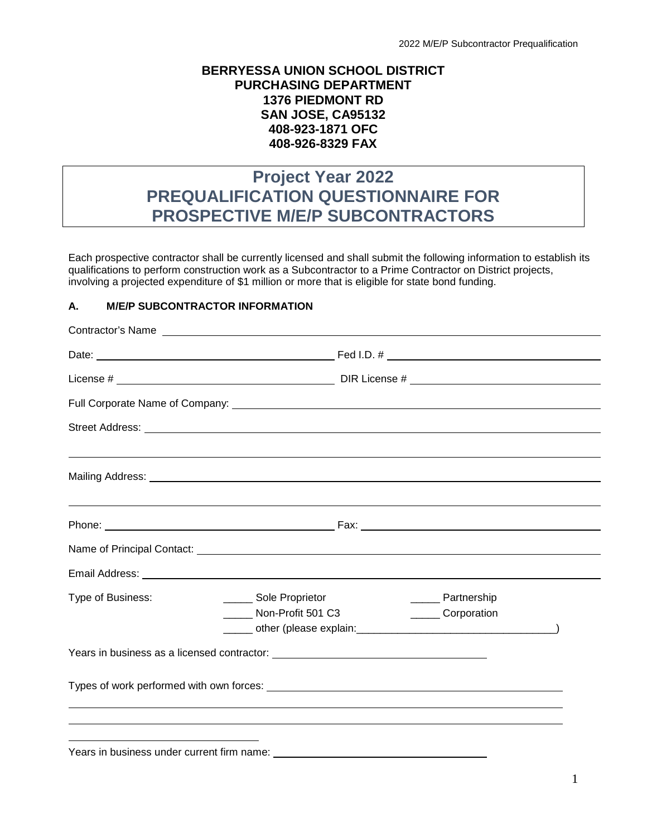## **BERRYESSA UNION SCHOOL DISTRICT PURCHASING DEPARTMENT 1376 PIEDMONT RD SAN JOSE, CA95132 408-923-1871 OFC 408-926-8329 FAX**

# **Project Year 2022 PREQUALIFICATION QUESTIONNAIRE FOR PROSPECTIVE M/E/P SUBCONTRACTORS**

Each prospective contractor shall be currently licensed and shall submit the following information to establish its qualifications to perform construction work as a Subcontractor to a Prime Contractor on District projects, involving a projected expenditure of \$1 million or more that is eligible for state bond funding.

## **A. M/E/P SUBCONTRACTOR INFORMATION**

|                                            | Contractor's Name                                                                                                                                                                                                                    |  |
|--------------------------------------------|--------------------------------------------------------------------------------------------------------------------------------------------------------------------------------------------------------------------------------------|--|
|                                            |                                                                                                                                                                                                                                      |  |
|                                            |                                                                                                                                                                                                                                      |  |
|                                            |                                                                                                                                                                                                                                      |  |
|                                            |                                                                                                                                                                                                                                      |  |
|                                            |                                                                                                                                                                                                                                      |  |
|                                            | ,我们也不会有什么?""我们的人,我们也不会有什么?""我们的人,我们也不会有什么?""我们的人,我们也不会有什么?""我们的人,我们也不会有什么?""我们的人                                                                                                                                                     |  |
|                                            | Name of Principal Contact: <u>contained and a series of the series of the series of the series of the series of the series of the series of the series of the series of the series of the series of the series of the series of </u> |  |
|                                            |                                                                                                                                                                                                                                      |  |
| Type of Business:                          | _______ Sole Proprietor<br>_______ Partnership<br>Non-Profit 501 C3<br>_______ Corporation                                                                                                                                           |  |
|                                            |                                                                                                                                                                                                                                      |  |
|                                            |                                                                                                                                                                                                                                      |  |
| Years in business under current firm name: |                                                                                                                                                                                                                                      |  |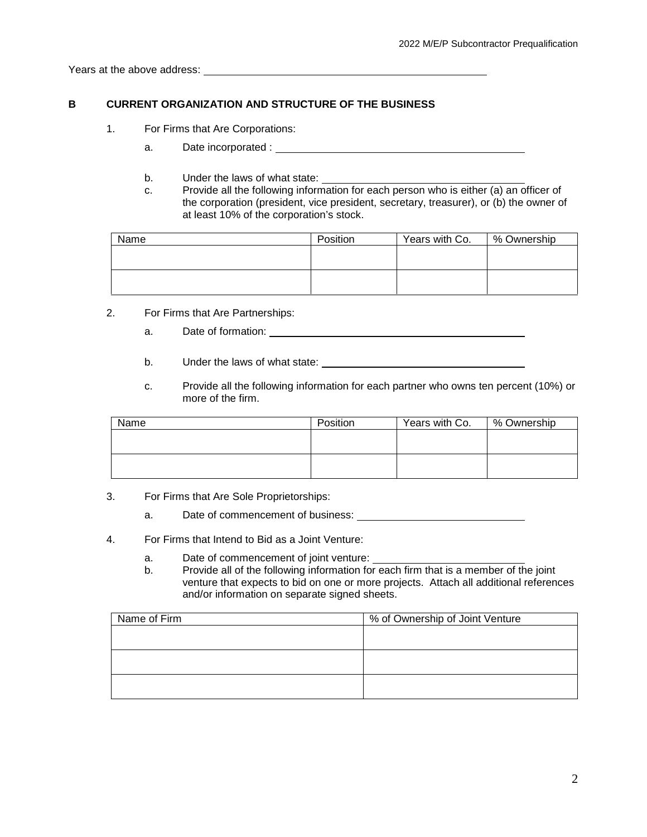Years at the above address:

### **B CURRENT ORGANIZATION AND STRUCTURE OF THE BUSINESS**

- 1. For Firms that Are Corporations:
	- a. Date incorporated :
	- b. Under the laws of what state:
	- c. Provide all the following information for each person who is either (a) an officer of the corporation (president, vice president, secretary, treasurer), or (b) the owner of at least 10% of the corporation's stock.

| Name | Position | Years with Co. | % Ownership |
|------|----------|----------------|-------------|
|      |          |                |             |
|      |          |                |             |
|      |          |                |             |
|      |          |                |             |

- 2. For Firms that Are Partnerships:
	- a. Date of formation: Demonstration and Date of formation:
	- b. Under the laws of what state:
	- c. Provide all the following information for each partner who owns ten percent (10%) or more of the firm.

| Name | Position | Years with Co. | % Ownership |
|------|----------|----------------|-------------|
|      |          |                |             |
|      |          |                |             |
|      |          |                |             |
|      |          |                |             |

- 3. For Firms that Are Sole Proprietorships:
	- a. Date of commencement of business:
- 4. For Firms that Intend to Bid as a Joint Venture:
	- a. Date of commencement of joint venture:
	- b. Provide all of the following information for each firm that is a member of the joint venture that expects to bid on one or more projects. Attach all additional references and/or information on separate signed sheets.

| Name of Firm | % of Ownership of Joint Venture |  |
|--------------|---------------------------------|--|
|              |                                 |  |
|              |                                 |  |
|              |                                 |  |
|              |                                 |  |
|              |                                 |  |
|              |                                 |  |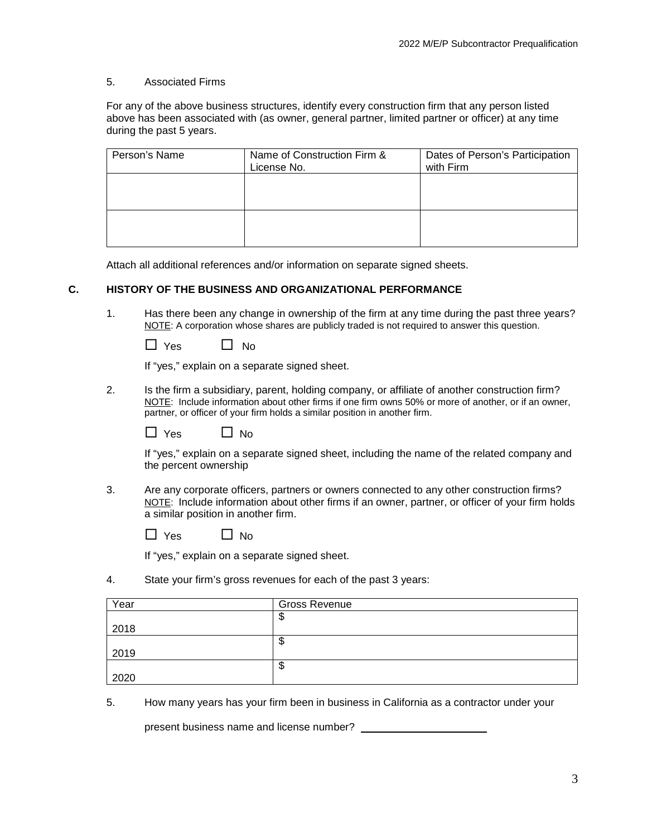#### 5. Associated Firms

For any of the above business structures, identify every construction firm that any person listed above has been associated with (as owner, general partner, limited partner or officer) at any time during the past 5 years.

| Person's Name | Name of Construction Firm &<br>License No. | Dates of Person's Participation<br>with Firm |
|---------------|--------------------------------------------|----------------------------------------------|
|               |                                            |                                              |
|               |                                            |                                              |
|               |                                            |                                              |

Attach all additional references and/or information on separate signed sheets.

### **C. HISTORY OF THE BUSINESS AND ORGANIZATIONAL PERFORMANCE**

1. Has there been any change in ownership of the firm at any time during the past three years? NOTE: A corporation whose shares are publicly traded is not required to answer this question.

| Yes. | No |
|------|----|
|------|----|

If "yes," explain on a separate signed sheet.

2. Is the firm a subsidiary, parent, holding company, or affiliate of another construction firm? NOTE: Include information about other firms if one firm owns 50% or more of another, or if an owner, partner, or officer of your firm holds a similar position in another firm.

| 'es | N٥ |
|-----|----|
|-----|----|

If "yes," explain on a separate signed sheet, including the name of the related company and the percent ownership

3. Are any corporate officers, partners or owners connected to any other construction firms? NOTE: Include information about other firms if an owner, partner, or officer of your firm holds a similar position in another firm.

| <b>Yes</b> | <b>No</b> |
|------------|-----------|
|------------|-----------|

If "yes," explain on a separate signed sheet.

4. State your firm's gross revenues for each of the past 3 years:

| Year | <b>Gross Revenue</b> |
|------|----------------------|
|      | Ψ                    |
| 2018 |                      |
|      | Φ                    |
| 2019 |                      |
|      | Φ                    |
| 2020 |                      |

5. How many years has your firm been in business in California as a contractor under your

present business name and license number?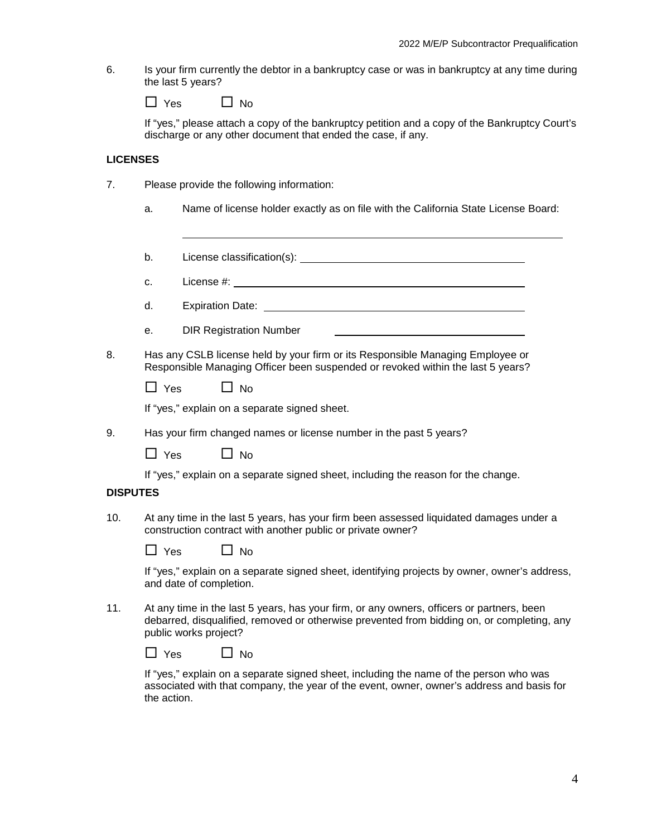6. Is your firm currently the debtor in a bankruptcy case or was in bankruptcy at any time during the last 5 years?

| <b>Yes</b> | <b>No</b> |
|------------|-----------|
|------------|-----------|

If "yes," please attach a copy of the bankruptcy petition and a copy of the Bankruptcy Court's discharge or any other document that ended the case, if any.

#### **LICENSES**

- 7. Please provide the following information:
	- a. Name of license holder exactly as on file with the California State License Board:
	- b. License classification(s): License classification(s):
	- c. License #:
	- d. Expiration Date:
	- e. DIR Registration Number
- 8. Has any CSLB license held by your firm or its Responsible Managing Employee or Responsible Managing Officer been suspended or revoked within the last 5 years?

| Yes | $\Box$ No |
|-----|-----------|
|-----|-----------|

If "yes," explain on a separate signed sheet.

9. Has your firm changed names or license number in the past 5 years?

| Yes. | <b>No</b> |
|------|-----------|
|------|-----------|

If "yes," explain on a separate signed sheet, including the reason for the change.

#### **DISPUTES**

10. At any time in the last 5 years, has your firm been assessed liquidated damages under a construction contract with another public or private owner?

| <b>Yes</b> | No |
|------------|----|
|------------|----|

If "yes," explain on a separate signed sheet, identifying projects by owner, owner's address, and date of completion.

11. At any time in the last 5 years, has your firm, or any owners, officers or partners, been debarred, disqualified, removed or otherwise prevented from bidding on, or completing, any public works project?

| Yes. | <b>No</b> |
|------|-----------|
|------|-----------|

If "yes," explain on a separate signed sheet, including the name of the person who was associated with that company, the year of the event, owner, owner's address and basis for the action.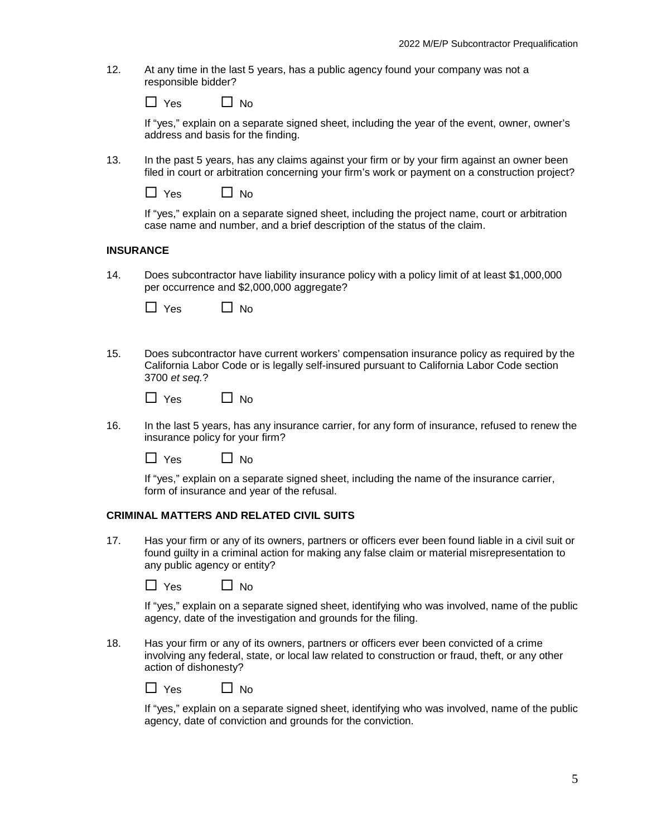12. At any time in the last 5 years, has a public agency found your company was not a responsible bidder?

| Yes | No |
|-----|----|
|-----|----|

If "yes," explain on a separate signed sheet, including the year of the event, owner, owner's address and basis for the finding.

13. In the past 5 years, has any claims against your firm or by your firm against an owner been filed in court or arbitration concerning your firm's work or payment on a construction project?

| <b>Yes</b> | No |
|------------|----|
|------------|----|

If "yes," explain on a separate signed sheet, including the project name, court or arbitration case name and number, and a brief description of the status of the claim.

#### **INSURANCE**

14. Does subcontractor have liability insurance policy with a policy limit of at least \$1,000,000 per occurrence and \$2,000,000 aggregate?

| Yes | N٥ |
|-----|----|
|-----|----|

15. Does subcontractor have current workers' compensation insurance policy as required by the California Labor Code or is legally self-insured pursuant to California Labor Code section 3700 *et seq.*?

| Yes. | <b>No</b> |
|------|-----------|
|------|-----------|

16. In the last 5 years, has any insurance carrier, for any form of insurance, refused to renew the insurance policy for your firm?

| 'es | N٥ |
|-----|----|
|-----|----|

If "yes," explain on a separate signed sheet, including the name of the insurance carrier, form of insurance and year of the refusal.

#### **CRIMINAL MATTERS AND RELATED CIVIL SUITS**

17. Has your firm or any of its owners, partners or officers ever been found liable in a civil suit or found guilty in a criminal action for making any false claim or material misrepresentation to any public agency or entity?

| $\Box$ Yes | $\Box$ No |
|------------|-----------|
|------------|-----------|

If "yes," explain on a separate signed sheet, identifying who was involved, name of the public agency, date of the investigation and grounds for the filing.

18. Has your firm or any of its owners, partners or officers ever been convicted of a crime involving any federal, state, or local law related to construction or fraud, theft, or any other action of dishonesty?

| <b>Yes</b> | N٥ |
|------------|----|
|------------|----|

If "yes," explain on a separate signed sheet, identifying who was involved, name of the public agency, date of conviction and grounds for the conviction.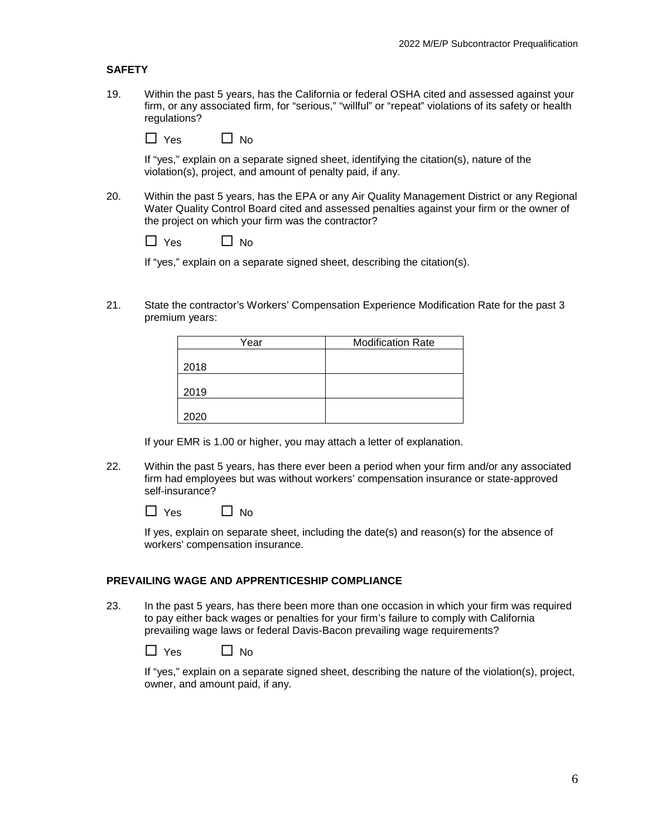## **SAFETY**

19. Within the past 5 years, has the California or federal OSHA cited and assessed against your firm, or any associated firm, for "serious," "willful" or "repeat" violations of its safety or health regulations?

 $\Box$  Yes  $\Box$  No

If "yes," explain on a separate signed sheet, identifying the citation(s), nature of the violation(s), project, and amount of penalty paid, if any.

20. Within the past 5 years, has the EPA or any Air Quality Management District or any Regional Water Quality Control Board cited and assessed penalties against your firm or the owner of the project on which your firm was the contractor?

| Yes | Nο<br>г |
|-----|---------|
|-----|---------|

If "yes," explain on a separate signed sheet, describing the citation(s).

21. State the contractor's Workers' Compensation Experience Modification Rate for the past 3 premium years:

| Year | <b>Modification Rate</b> |
|------|--------------------------|
|      |                          |
| 2018 |                          |
|      |                          |
| 2019 |                          |
|      |                          |
| 2020 |                          |

If your EMR is 1.00 or higher, you may attach a letter of explanation.

22. Within the past 5 years, has there ever been a period when your firm and/or any associated firm had employees but was without workers' compensation insurance or state-approved self-insurance?

| Yes | $\Box$ No |
|-----|-----------|
|-----|-----------|

If yes, explain on separate sheet, including the date(s) and reason(s) for the absence of workers' compensation insurance.

#### **PREVAILING WAGE AND APPRENTICESHIP COMPLIANCE**

23. In the past 5 years, has there been more than one occasion in which your firm was required to pay either back wages or penalties for your firm's failure to comply with California prevailing wage laws or federal Davis-Bacon prevailing wage requirements?

| Yes | ∐ No |
|-----|------|
|-----|------|

If "yes," explain on a separate signed sheet, describing the nature of the violation(s), project, owner, and amount paid, if any.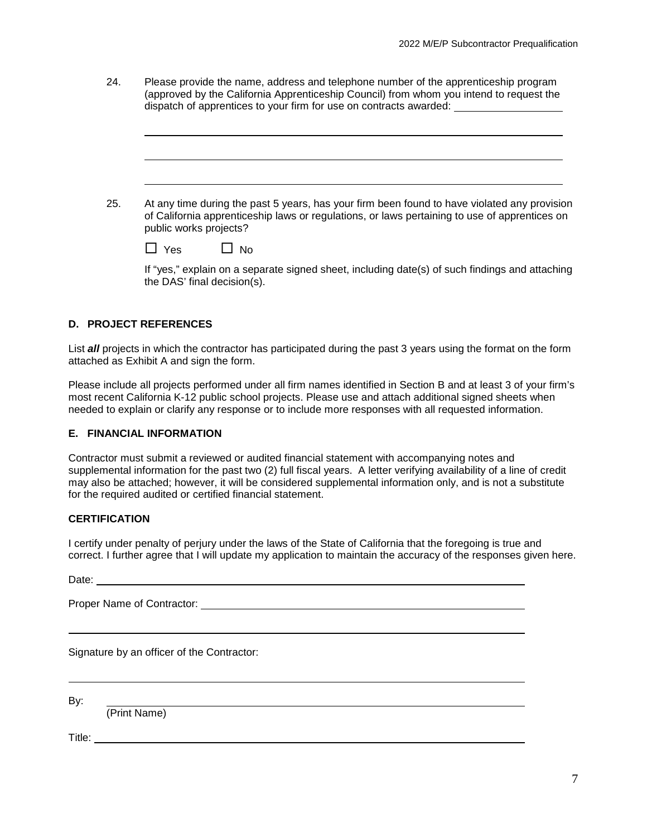| 24. | Please provide the name, address and telephone number of the apprenticeship program<br>(approved by the California Apprenticeship Council) from whom you intend to request the<br>dispatch of apprentices to your firm for use on contracts awarded: |  |  |
|-----|------------------------------------------------------------------------------------------------------------------------------------------------------------------------------------------------------------------------------------------------------|--|--|
|     |                                                                                                                                                                                                                                                      |  |  |
| 25. | At any time during the past 5 years, has your firm been found to have violated any provision<br>of California apprenticeship laws or regulations, or laws pertaining to use of apprentices on<br>public works projects?                              |  |  |

| Yes | N٥ |
|-----|----|
|-----|----|

If "yes," explain on a separate signed sheet, including date(s) of such findings and attaching the DAS' final decision(s).

## **D. PROJECT REFERENCES**

List *all* projects in which the contractor has participated during the past 3 years using the format on the form attached as Exhibit A and sign the form.

Please include all projects performed under all firm names identified in Section B and at least 3 of your firm's most recent California K-12 public school projects. Please use and attach additional signed sheets when needed to explain or clarify any response or to include more responses with all requested information.

### **E. FINANCIAL INFORMATION**

Contractor must submit a reviewed or audited financial statement with accompanying notes and supplemental information for the past two (2) full fiscal years. A letter verifying availability of a line of credit may also be attached; however, it will be considered supplemental information only, and is not a substitute for the required audited or certified financial statement.

### **CERTIFICATION**

I certify under penalty of perjury under the laws of the State of California that the foregoing is true and correct. I further agree that I will update my application to maintain the accuracy of the responses given here.

| Date: |  |
|-------|--|
|       |  |

Proper Name of Contractor:

Signature by an officer of the Contractor:

By:

(Print Name)

Title: